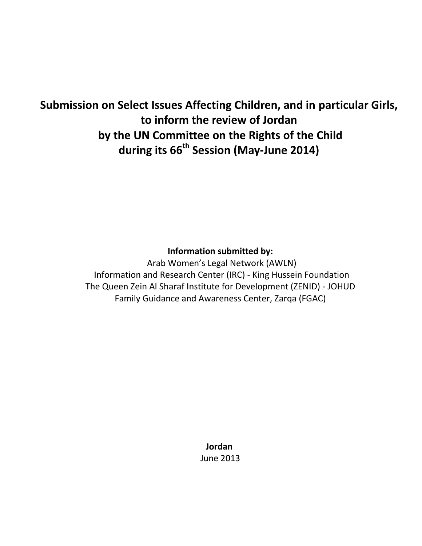# **Submission on Select Issues Affecting Children, and in particular Girls, to inform the review of Jordan by the UN Committee on the Rights of the Child during its 66th Session (May-June 2014)**

## **Information submitted by:**

Arab Women's Legal Network (AWLN) Information and Research Center (IRC) - King Hussein Foundation The Queen Zein Al Sharaf Institute for Development (ZENID) - JOHUD Family Guidance and Awareness Center, Zarqa (FGAC)

> **Jordan**  June 2013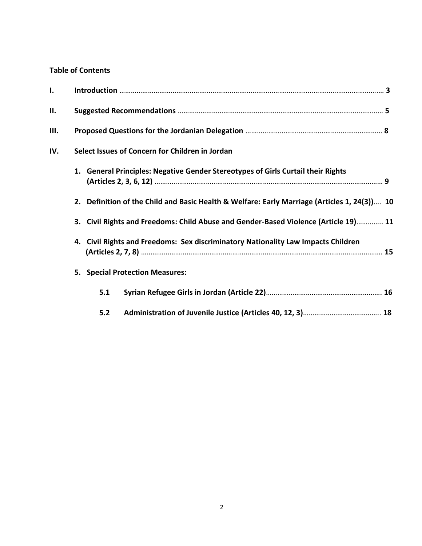## **Table of Contents**

| ı.  |                                                                                              |
|-----|----------------------------------------------------------------------------------------------|
| П.  |                                                                                              |
| Ш.  |                                                                                              |
| IV. | Select Issues of Concern for Children in Jordan                                              |
|     | 1. General Principles: Negative Gender Stereotypes of Girls Curtail their Rights             |
|     | 2. Definition of the Child and Basic Health & Welfare: Early Marriage (Articles 1, 24(3)) 10 |
|     | 3. Civil Rights and Freedoms: Child Abuse and Gender-Based Violence (Article 19) 11          |
|     | 4. Civil Rights and Freedoms: Sex discriminatory Nationality Law Impacts Children            |
|     | 5. Special Protection Measures:                                                              |
|     | 5.1                                                                                          |
|     | 5.2                                                                                          |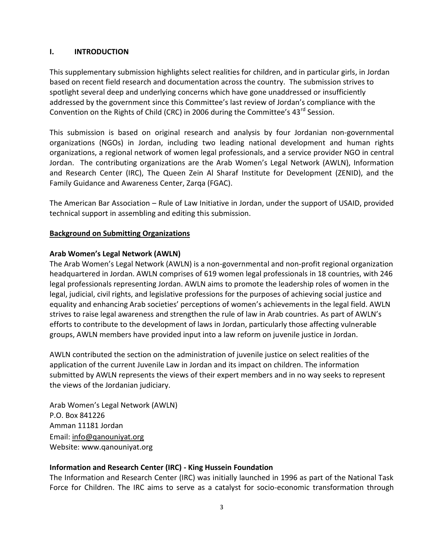#### **I. INTRODUCTION**

This supplementary submission highlights select realities for children, and in particular girls, in Jordan based on recent field research and documentation across the country. The submission strives to spotlight several deep and underlying concerns which have gone unaddressed or insufficiently addressed by the government since this Committee's last review of Jordan's compliance with the Convention on the Rights of Child (CRC) in 2006 during the Committee's 43<sup>rd</sup> Session.

This submission is based on original research and analysis by four Jordanian non-governmental organizations (NGOs) in Jordan, including two leading national development and human rights organizations, a regional network of women legal professionals, and a service provider NGO in central Jordan. The contributing organizations are the Arab Women's Legal Network (AWLN), Information and Research Center (IRC), The Queen Zein Al Sharaf Institute for Development (ZENID), and the Family Guidance and Awareness Center, Zarqa (FGAC).

The American Bar Association – Rule of Law Initiative in Jordan, under the support of USAID, provided technical support in assembling and editing this submission.

#### **Background on Submitting Organizations**

#### **Arab Women's Legal Network (AWLN)**

The Arab Women's Legal Network (AWLN) is a non-governmental and non-profit regional organization headquartered in Jordan. AWLN comprises of 619 women legal professionals in 18 countries, with 246 legal professionals representing Jordan. AWLN aims to promote the leadership roles of women in the legal, judicial, civil rights, and legislative professions for the purposes of achieving social justice and equality and enhancing Arab societies' perceptions of women's achievements in the legal field. AWLN strives to raise legal awareness and strengthen the rule of law in Arab countries. As part of AWLN's efforts to contribute to the development of laws in Jordan, particularly those affecting vulnerable groups, AWLN members have provided input into a law reform on juvenile justice in Jordan.

AWLN contributed the section on the administration of juvenile justice on select realities of the application of the current Juvenile Law in Jordan and its impact on children. The information submitted by AWLN represents the views of their expert members and in no way seeks to represent the views of the Jordanian judiciary.

Arab Women's Legal Network (AWLN) P.O. Box 841226 Amman 11181 Jordan Email: [info@qanouniyat.org](mailto:info@qanouniyat.org) Website: www.qanouniyat.org

#### **Information and Research Center (IRC) - King Hussein Foundation**

The Information and Research Center (IRC) was initially launched in 1996 as part of the National Task Force for Children. The IRC aims to serve as a catalyst for socio-economic transformation through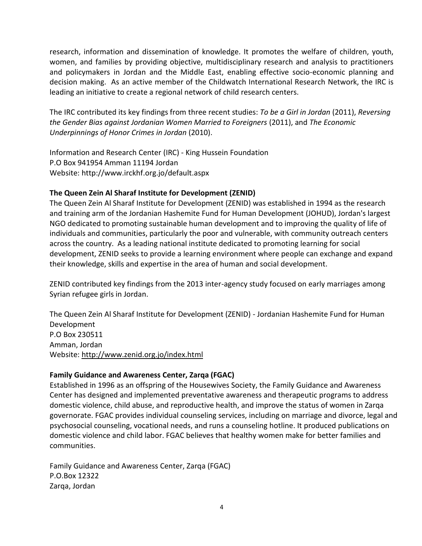research, information and dissemination of knowledge. It promotes the welfare of children, youth, women, and families by providing objective, multidisciplinary research and analysis to practitioners and policymakers in Jordan and the Middle East, enabling effective socio-economic planning and decision making. As an active member of the Childwatch International Research Network, the IRC is leading an initiative to create a regional network of child research centers.

The IRC contributed its key findings from three recent studies: *To be a Girl in Jordan* (2011), *Reversing the Gender Bias against Jordanian Women Married to Foreigners* (2011), and *The Economic Underpinnings of Honor Crimes in Jordan* (2010).

Information and Research Center (IRC) - King Hussein Foundation P.O Box 941954 Amman 11194 Jordan Website: http://www.irckhf.org.jo/default.aspx

#### **The Queen Zein Al Sharaf Institute for Development (ZENID)**

The Queen Zein Al Sharaf Institute for Development (ZENID) was established in 1994 as the research and training arm of the Jordanian Hashemite Fund for Human Development (JOHUD), Jordan's largest NGO dedicated to promoting sustainable human development and to improving the quality of life of individuals and communities, particularly the poor and vulnerable, with community outreach centers across the country. As a leading national institute dedicated to promoting learning for social development, ZENID seeks to provide a learning environment where people can exchange and expand their knowledge, skills and expertise in the area of human and social development.

ZENID contributed key findings from the 2013 inter-agency study focused on early marriages among Syrian refugee girls in Jordan.

The Queen Zein Al Sharaf Institute for Development (ZENID) - Jordanian Hashemite Fund for Human Development P.O Box 230511 Amman, Jordan Website:<http://www.zenid.org.jo/index.html>

#### **Family Guidance and Awareness Center, Zarqa (FGAC)**

Established in 1996 as an offspring of the Housewives Society, the Family Guidance and Awareness Center has designed and implemented preventative awareness and therapeutic programs to address domestic violence, child abuse, and reproductive health, and improve the status of women in Zarqa governorate. FGAC provides individual counseling services, including on marriage and divorce, legal and psychosocial counseling, vocational needs, and runs a counseling hotline. It produced publications on domestic violence and child labor. FGAC believes that healthy women make for better families and communities.

Family Guidance and Awareness Center, Zarqa (FGAC) P.O.Box 12322 Zarqa, Jordan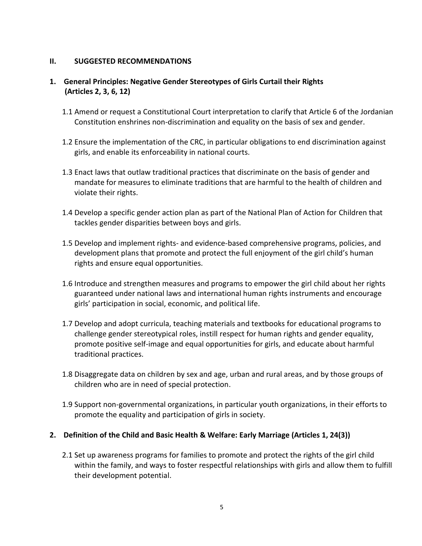#### **II. SUGGESTED RECOMMENDATIONS**

#### **1. General Principles: Negative Gender Stereotypes of Girls Curtail their Rights (Articles 2, 3, 6, 12)**

- 1.1 Amend or request a Constitutional Court interpretation to clarify that Article 6 of the Jordanian Constitution enshrines non-discrimination and equality on the basis of sex and gender.
- 1.2 Ensure the implementation of the CRC, in particular obligations to end discrimination against girls, and enable its enforceability in national courts.
- 1.3 Enact laws that outlaw traditional practices that discriminate on the basis of gender and mandate for measures to eliminate traditions that are harmful to the health of children and violate their rights.
- 1.4 Develop a specific gender action plan as part of the National Plan of Action for Children that tackles gender disparities between boys and girls.
- 1.5 Develop and implement rights- and evidence-based comprehensive programs, policies, and development plans that promote and protect the full enjoyment of the girl child's human rights and ensure equal opportunities.
- 1.6 Introduce and strengthen measures and programs to empower the girl child about her rights guaranteed under national laws and international human rights instruments and encourage girls' participation in social, economic, and political life.
- 1.7 Develop and adopt curricula, teaching materials and textbooks for educational programs to challenge gender stereotypical roles, instill respect for human rights and gender equality, promote positive self-image and equal opportunities for girls, and educate about harmful traditional practices.
- 1.8 Disaggregate data on children by sex and age, urban and rural areas, and by those groups of children who are in need of special protection.
- 1.9 Support non-governmental organizations, in particular youth organizations, in their efforts to promote the equality and participation of girls in society.

#### **2. Definition of the Child and Basic Health & Welfare: Early Marriage (Articles 1, 24(3))**

2.1 Set up awareness programs for families to promote and protect the rights of the girl child within the family, and ways to foster respectful relationships with girls and allow them to fulfill their development potential.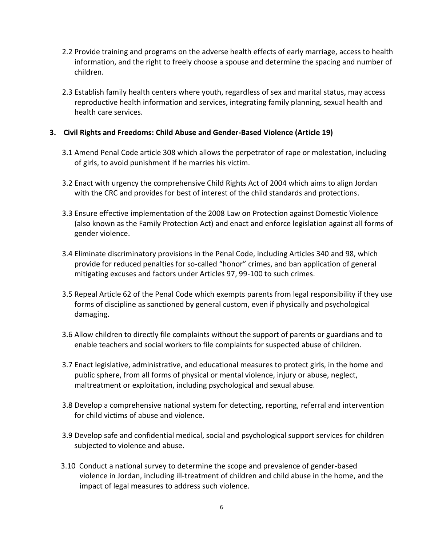- 2.2 Provide training and programs on the adverse health effects of early marriage, access to health information, and the right to freely choose a spouse and determine the spacing and number of children.
- 2.3 Establish family health centers where youth, regardless of sex and marital status, may access reproductive health information and services, integrating family planning, sexual health and health care services.

#### **3. Civil Rights and Freedoms: Child Abuse and Gender-Based Violence (Article 19)**

- 3.1 Amend Penal Code article 308 which allows the perpetrator of rape or molestation, including of girls, to avoid punishment if he marries his victim.
- 3.2 Enact with urgency the comprehensive Child Rights Act of 2004 which aims to align Jordan with the CRC and provides for best of interest of the child standards and protections.
- 3.3 Ensure effective implementation of the 2008 Law on Protection against Domestic Violence (also known as the Family Protection Act) and enact and enforce legislation against all forms of gender violence.
- 3.4 Eliminate discriminatory provisions in the Penal Code, including Articles 340 and 98, which provide for reduced penalties for so-called "honor" crimes, and ban application of general mitigating excuses and factors under Articles 97, 99-100 to such crimes.
- 3.5 Repeal Article 62 of the Penal Code which exempts parents from legal responsibility if they use forms of discipline as sanctioned by general custom, even if physically and psychological damaging.
- 3.6 Allow children to directly file complaints without the support of parents or guardians and to enable teachers and social workers to file complaints for suspected abuse of children.
- 3.7 Enact legislative, administrative, and educational measures to protect girls, in the home and public sphere, from all forms of physical or mental violence, injury or abuse, neglect, maltreatment or exploitation, including psychological and sexual abuse.
- 3.8 Develop a comprehensive national system for detecting, reporting, referral and intervention for child victims of abuse and violence.
- 3.9 Develop safe and confidential medical, social and psychological support services for children subjected to violence and abuse.
- 3.10 Conduct a national survey to determine the scope and prevalence of gender-based violence in Jordan, including ill-treatment of children and child abuse in the home, and the impact of legal measures to address such violence.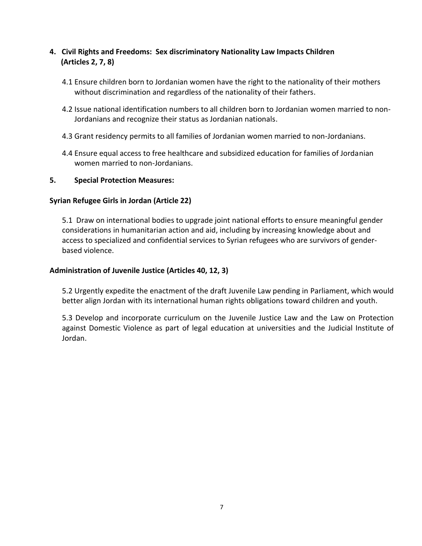### **4. Civil Rights and Freedoms: Sex discriminatory Nationality Law Impacts Children (Articles 2, 7, 8)**

- 4.1 Ensure children born to Jordanian women have the right to the nationality of their mothers without discrimination and regardless of the nationality of their fathers.
- 4.2 Issue national identification numbers to all children born to Jordanian women married to non-Jordanians and recognize their status as Jordanian nationals.
- 4.3 Grant residency permits to all families of Jordanian women married to non-Jordanians.
- 4.4 Ensure equal access to free healthcare and subsidized education for families of Jordanian women married to non-Jordanians.

#### **5. Special Protection Measures:**

#### **Syrian Refugee Girls in Jordan (Article 22)**

5.1 Draw on international bodies to upgrade joint national efforts to ensure meaningful gender considerations in humanitarian action and aid, including by increasing knowledge about and access to specialized and confidential services to Syrian refugees who are survivors of genderbased violence.

#### **Administration of Juvenile Justice (Articles 40, 12, 3)**

5.2 Urgently expedite the enactment of the draft Juvenile Law pending in Parliament, which would better align Jordan with its international human rights obligations toward children and youth.

5.3 Develop and incorporate curriculum on the Juvenile Justice Law and the Law on Protection against Domestic Violence as part of legal education at universities and the Judicial Institute of Jordan.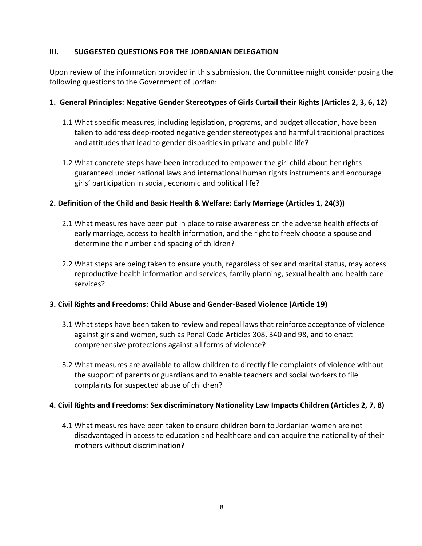#### **III. SUGGESTED QUESTIONS FOR THE JORDANIAN DELEGATION**

Upon review of the information provided in this submission, the Committee might consider posing the following questions to the Government of Jordan:

#### **1. General Principles: Negative Gender Stereotypes of Girls Curtail their Rights (Articles 2, 3, 6, 12)**

- 1.1 What specific measures, including legislation, programs, and budget allocation, have been taken to address deep-rooted negative gender stereotypes and harmful traditional practices and attitudes that lead to gender disparities in private and public life?
- 1.2 What concrete steps have been introduced to empower the girl child about her rights guaranteed under national laws and international human rights instruments and encourage girls' participation in social, economic and political life?

#### **2. Definition of the Child and Basic Health & Welfare: Early Marriage (Articles 1, 24(3))**

- 2.1 What measures have been put in place to raise awareness on the adverse health effects of early marriage, access to health information, and the right to freely choose a spouse and determine the number and spacing of children?
- 2.2 What steps are being taken to ensure youth, regardless of sex and marital status, may access reproductive health information and services, family planning, sexual health and health care services?

#### **3. Civil Rights and Freedoms: Child Abuse and Gender-Based Violence (Article 19)**

- 3.1 What steps have been taken to review and repeal laws that reinforce acceptance of violence against girls and women, such as Penal Code Articles 308, 340 and 98, and to enact comprehensive protections against all forms of violence?
- 3.2 What measures are available to allow children to directly file complaints of violence without the support of parents or guardians and to enable teachers and social workers to file complaints for suspected abuse of children?

#### **4. Civil Rights and Freedoms: Sex discriminatory Nationality Law Impacts Children (Articles 2, 7, 8)**

4.1 What measures have been taken to ensure children born to Jordanian women are not disadvantaged in access to education and healthcare and can acquire the nationality of their mothers without discrimination?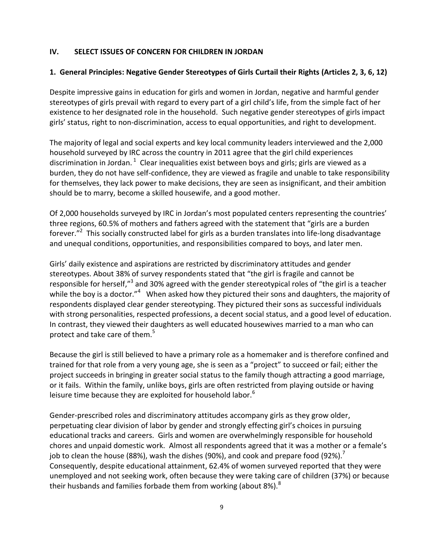#### **IV. SELECT ISSUES OF CONCERN FOR CHILDREN IN JORDAN**

#### **1. General Principles: Negative Gender Stereotypes of Girls Curtail their Rights (Articles 2, 3, 6, 12)**

Despite impressive gains in education for girls and women in Jordan, negative and harmful gender stereotypes of girls prevail with regard to every part of a girl child's life, from the simple fact of her existence to her designated role in the household. Such negative gender stereotypes of girls impact girls' status, right to non-discrimination, access to equal opportunities, and right to development.

The majority of legal and social experts and key local community leaders interviewed and the 2,000 household surveyed by IRC across the country in 2011 agree that the girl child experiences discrimination in Jordan.  $^1$  Clear inequalities exist between boys and girls; girls are viewed as a burden, they do not have self-confidence, they are viewed as fragile and unable to take responsibility for themselves, they lack power to make decisions, they are seen as insignificant, and their ambition should be to marry, become a skilled housewife, and a good mother.

Of 2,000 households surveyed by IRC in Jordan's most populated centers representing the countries' three regions, 60.5% of mothers and fathers agreed with the statement that "girls are a burden forever."<sup>2</sup> This socially constructed label for girls as a burden translates into life-long disadvantage and unequal conditions, opportunities, and responsibilities compared to boys, and later men.

Girls' daily existence and aspirations are restricted by discriminatory attitudes and gender stereotypes. About 38% of survey respondents stated that "the girl is fragile and cannot be responsible for herself,"<sup>3</sup> and 30% agreed with the gender stereotypical roles of "the girl is a teacher while the boy is a doctor."<sup>4</sup> When asked how they pictured their sons and daughters, the majority of respondents displayed clear gender stereotyping. They pictured their sons as successful individuals with strong personalities, respected professions, a decent social status, and a good level of education. In contrast, they viewed their daughters as well educated housewives married to a man who can protect and take care of them.<sup>5</sup>

Because the girl is still believed to have a primary role as a homemaker and is therefore confined and trained for that role from a very young age, she is seen as a "project" to succeed or fail; either the project succeeds in bringing in greater social status to the family though attracting a good marriage, or it fails. Within the family, unlike boys, girls are often restricted from playing outside or having leisure time because they are exploited for household labor.<sup>6</sup>

Gender-prescribed roles and discriminatory attitudes accompany girls as they grow older, perpetuating clear division of labor by gender and strongly effecting girl's choices in pursuing educational tracks and careers. Girls and women are overwhelmingly responsible for household chores and unpaid domestic work. Almost all respondents agreed that it was a mother or a female's job to clean the house (88%), wash the dishes (90%), and cook and prepare food (92%). $^7$ Consequently, despite educational attainment, 62.4% of women surveyed reported that they were unemployed and not seeking work, often because they were taking care of children (37%) or because their husbands and families forbade them from working (about 8%).<sup>8</sup>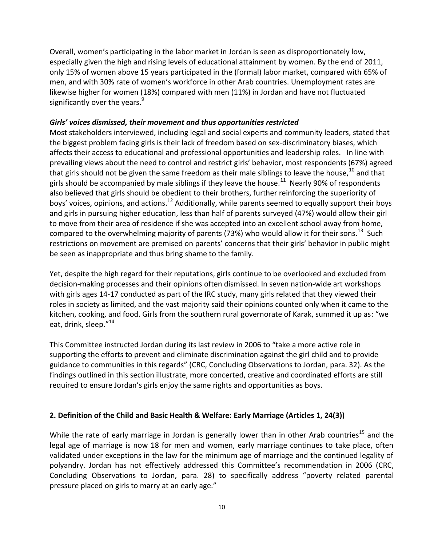Overall, women's participating in the labor market in Jordan is seen as disproportionately low, especially given the high and rising levels of educational attainment by women. By the end of 2011, only 15% of women above 15 years participated in the (formal) labor market, compared with 65% of men, and with 30% rate of women's workforce in other Arab countries. Unemployment rates are likewise higher for women (18%) compared with men (11%) in Jordan and have not fluctuated significantly over the years. $9$ 

#### *Girls' voices dismissed, their movement and thus opportunities restricted*

Most stakeholders interviewed, including legal and social experts and community leaders, stated that the biggest problem facing girls is their lack of freedom based on sex-discriminatory biases, which affects their access to educational and professional opportunities and leadership roles. In line with prevailing views about the need to control and restrict girls' behavior, most respondents (67%) agreed that girls should not be given the same freedom as their male siblings to leave the house,<sup>10</sup> and that girls should be accompanied by male siblings if they leave the house. $^{11}$  Nearly 90% of respondents also believed that girls should be obedient to their brothers, further reinforcing the superiority of boys' voices, opinions, and actions.<sup>12</sup> Additionally, while parents seemed to equally support their boys and girls in pursuing higher education, less than half of parents surveyed (47%) would allow their girl to move from their area of residence if she was accepted into an excellent school away from home, compared to the overwhelming majority of parents (73%) who would allow it for their sons.<sup>13</sup> Such restrictions on movement are premised on parents' concerns that their girls' behavior in public might be seen as inappropriate and thus bring shame to the family.

Yet, despite the high regard for their reputations, girls continue to be overlooked and excluded from decision-making processes and their opinions often dismissed. In seven nation-wide art workshops with girls ages 14-17 conducted as part of the IRC study, many girls related that they viewed their roles in society as limited, and the vast majority said their opinions counted only when it came to the kitchen, cooking, and food. Girls from the southern rural governorate of Karak, summed it up as: "we eat, drink, sleep."<sup>14</sup>

This Committee instructed Jordan during its last review in 2006 to "take a more active role in supporting the efforts to prevent and eliminate discrimination against the girl child and to provide guidance to communities in this regards" (CRC, Concluding Observations to Jordan, para. 32). As the findings outlined in this section illustrate, more concerted, creative and coordinated efforts are still required to ensure Jordan's girls enjoy the same rights and opportunities as boys.

#### **2. Definition of the Child and Basic Health & Welfare: Early Marriage (Articles 1, 24(3))**

While the rate of early marriage in Jordan is generally lower than in other Arab countries<sup>15</sup> and the legal age of marriage is now 18 for men and women, early marriage continues to take place, often validated under exceptions in the law for the minimum age of marriage and the continued legality of polyandry. Jordan has not effectively addressed this Committee's recommendation in 2006 (CRC, Concluding Observations to Jordan, para. 28) to specifically address "poverty related parental pressure placed on girls to marry at an early age."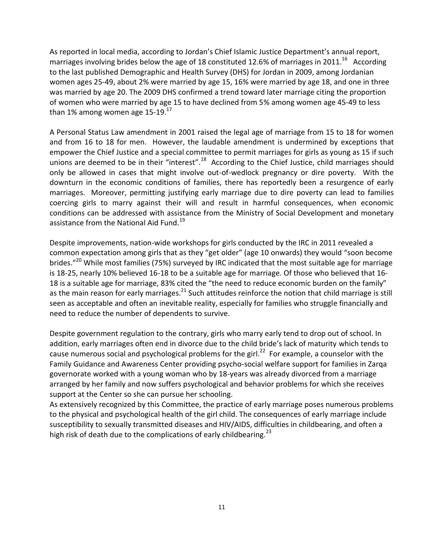As reported in local media, according to Jordan's Chief Islamic Justice Department's annual report, marriages involving brides below the age of 18 constituted 12.6% of marriages in 2011.<sup>16</sup> According to the last published Demographic and Health Survey (DHS) for Jordan in 2009, among Jordanian women ages 25-49, about 2% were married by age 15, 16% were married by age 18, and one in three was married by age 20. The 2009 DHS confirmed a trend toward later marriage citing the proportion of women who were married by age 15 to have declined from 5% among women age 45-49 to less than 1% among women age  $15-19$ .<sup>17</sup>

A Personal Status Law amendment in 2001 raised the legal age of marriage from 15 to 18 for women and from 16 to 18 for men. However, the laudable amendment is undermined by exceptions that empower the Chief Justice and a special committee to permit marriages for girls as young as 15 if such unions are deemed to be in their "interest".<sup>18</sup> According to the Chief Justice, child marriages should only be allowed in cases that might involve out-of-wedlock pregnancy or dire poverty. With the downturn in the economic conditions of families, there has reportedly been a resurgence of early marriages. Moreover, permitting justifying early marriage due to dire poverty can lead to families coercing girls to marry against their will and result in harmful consequences, when economic conditions can be addressed with assistance from the Ministry of Social Development and monetary assistance from the National Aid Fund.<sup>19</sup>

Despite improvements, nation-wide workshops for girls conducted by the IRC in 2011 revealed a common expectation among girls that as they "get older" (age 10 onwards) they would "soon become brides."<sup>20</sup> While most families (75%) surveyed by IRC indicated that the most suitable age for marriage is 18-25, nearly 10% believed 16-18 to be a suitable age for marriage. Of those who believed that 16- 18 is a suitable age for marriage, 83% cited the "the need to reduce economic burden on the family" as the main reason for early marriages.<sup>21</sup> Such attitudes reinforce the notion that child marriage is still seen as acceptable and often an inevitable reality, especially for families who struggle financially and need to reduce the number of dependents to survive.

Despite government regulation to the contrary, girls who marry early tend to drop out of school. In addition, early marriages often end in divorce due to the child bride's lack of maturity which tends to cause numerous social and psychological problems for the girl.<sup>22</sup> For example, a counselor with the Family Guidance and Awareness Center providing psycho-social welfare support for families in Zarqa governorate worked with a young woman who by 18-years was already divorced from a marriage arranged by her family and now suffers psychological and behavior problems for which she receives support at the Center so she can pursue her schooling.

As extensively recognized by this Committee, the practice of early marriage poses numerous problems to the physical and psychological health of the girl child. The consequences of early marriage include susceptibility to sexually transmitted diseases and HIV/AIDS, difficulties in childbearing, and often a high risk of death due to the complications of early childbearing.<sup>23</sup>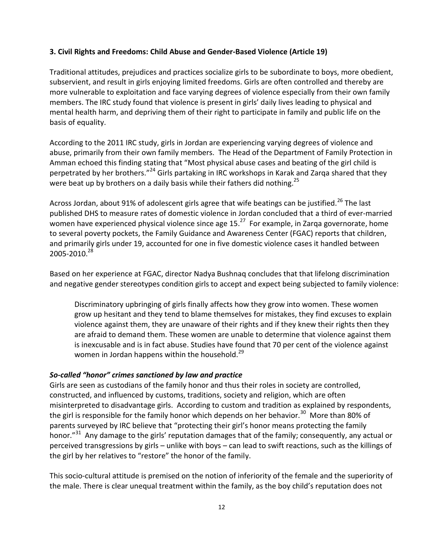#### **3. Civil Rights and Freedoms: Child Abuse and Gender-Based Violence (Article 19)**

Traditional attitudes, prejudices and practices socialize girls to be subordinate to boys, more obedient, subservient, and result in girls enjoying limited freedoms. Girls are often controlled and thereby are more vulnerable to exploitation and face varying degrees of violence especially from their own family members. The IRC study found that violence is present in girls' daily lives leading to physical and mental health harm, and depriving them of their right to participate in family and public life on the basis of equality.

According to the 2011 IRC study, girls in Jordan are experiencing varying degrees of violence and abuse, primarily from their own family members. The Head of the Department of Family Protection in Amman echoed this finding stating that "Most physical abuse cases and beating of the girl child is perpetrated by her brothers."<sup>24</sup> Girls partaking in IRC workshops in Karak and Zarqa shared that they were beat up by brothers on a daily basis while their fathers did nothing.<sup>25</sup>

Across Jordan, about 91% of adolescent girls agree that wife beatings can be justified.<sup>26</sup> The last published DHS to measure rates of domestic violence in Jordan concluded that a third of ever-married women have experienced physical violence since age 15.<sup>27</sup> For example, in Zarqa governorate, home to several poverty pockets, the Family Guidance and Awareness Center (FGAC) reports that children, and primarily girls under 19, accounted for one in five domestic violence cases it handled between  $2005 - 2010.<sup>28</sup>$ 

Based on her experience at FGAC, director Nadya Bushnaq concludes that that lifelong discrimination and negative gender stereotypes condition girls to accept and expect being subjected to family violence:

Discriminatory upbringing of girls finally affects how they grow into women. These women grow up hesitant and they tend to blame themselves for mistakes, they find excuses to explain violence against them, they are unaware of their rights and if they knew their rights then they are afraid to demand them. These women are unable to determine that violence against them is inexcusable and is in fact abuse. Studies have found that 70 per cent of the violence against women in Jordan happens within the household. $^{29}$ 

#### *So-called "honor" crimes sanctioned by law and practice*

Girls are seen as custodians of the family honor and thus their roles in society are controlled, constructed, and influenced by customs, traditions, society and religion, which are often misinterpreted to disadvantage girls. According to custom and tradition as explained by respondents, the girl is responsible for the family honor which depends on her behavior.<sup>30</sup> More than 80% of parents surveyed by IRC believe that "protecting their girl's honor means protecting the family honor."<sup>31</sup> Any damage to the girls' reputation damages that of the family; consequently, any actual or perceived transgressions by girls – unlike with boys – can lead to swift reactions, such as the killings of the girl by her relatives to "restore" the honor of the family.

This socio-cultural attitude is premised on the notion of inferiority of the female and the superiority of the male. There is clear unequal treatment within the family, as the boy child's reputation does not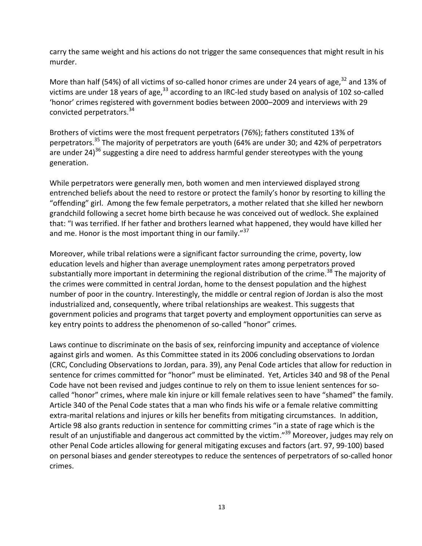carry the same weight and his actions do not trigger the same consequences that might result in his murder.

More than half (54%) of all victims of so-called honor crimes are under 24 years of age,<sup>32</sup> and 13% of victims are under 18 years of age,  $33$  according to an IRC-led study based on analysis of 102 so-called 'honor' crimes registered with government bodies between 2000–2009 and interviews with 29 convicted perpetrators.<sup>34</sup>

Brothers of victims were the most frequent perpetrators (76%); fathers constituted 13% of perpetrators.<sup>35</sup> The majority of perpetrators are youth (64% are under 30; and 42% of perpetrators are under 24)<sup>36</sup> suggesting a dire need to address harmful gender stereotypes with the young generation.

While perpetrators were generally men, both women and men interviewed displayed strong entrenched beliefs about the need to restore or protect the family's honor by resorting to killing the "offending" girl. Among the few female perpetrators, a mother related that she killed her newborn grandchild following a secret home birth because he was conceived out of wedlock. She explained that: "I was terrified. If her father and brothers learned what happened, they would have killed her and me. Honor is the most important thing in our family."<sup>37</sup>

Moreover, while tribal relations were a significant factor surrounding the crime, poverty, low education levels and higher than average unemployment rates among perpetrators proved substantially more important in determining the regional distribution of the crime.<sup>38</sup> The majority of the crimes were committed in central Jordan, home to the densest population and the highest number of poor in the country. Interestingly, the middle or central region of Jordan is also the most industrialized and, consequently, where tribal relationships are weakest. This suggests that government policies and programs that target poverty and employment opportunities can serve as key entry points to address the phenomenon of so-called "honor" crimes.

Laws continue to discriminate on the basis of sex, reinforcing impunity and acceptance of violence against girls and women. As this Committee stated in its 2006 concluding observations to Jordan (CRC, Concluding Observations to Jordan, para. 39), any Penal Code articles that allow for reduction in sentence for crimes committed for "honor" must be eliminated. Yet, Articles 340 and 98 of the Penal Code have not been revised and judges continue to rely on them to issue lenient sentences for socalled "honor" crimes, where male kin injure or kill female relatives seen to have "shamed" the family. Article 340 of the Penal Code states that a man who finds his wife or a female relative committing extra-marital relations and injures or kills her benefits from mitigating circumstances. In addition, Article 98 also grants reduction in sentence for committing crimes "in a state of rage which is the result of an unjustifiable and dangerous act committed by the victim."<sup>39</sup> Moreover, judges may rely on other Penal Code articles allowing for general mitigating excuses and factors (art. 97, 99-100) based on personal biases and gender stereotypes to reduce the sentences of perpetrators of so-called honor crimes.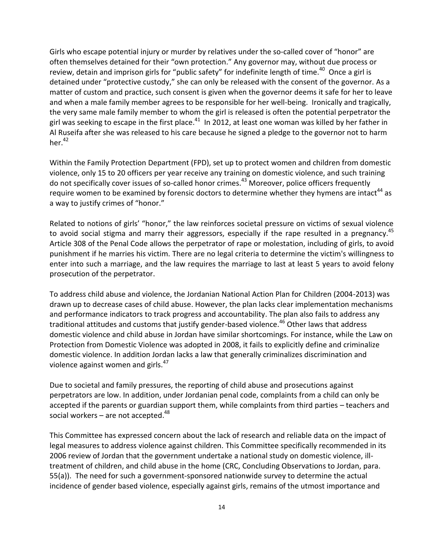Girls who escape potential injury or murder by relatives under the so-called cover of "honor" are often themselves detained for their "own protection." Any governor may, without due process or review, detain and imprison girls for "public safety" for indefinite length of time.<sup>40</sup> Once a girl is detained under "protective custody," she can only be released with the consent of the governor. As a matter of custom and practice, such consent is given when the governor deems it safe for her to leave and when a male family member agrees to be responsible for her well-being. Ironically and tragically, the very same male family member to whom the girl is released is often the potential perpetrator the girl was seeking to escape in the first place.<sup>41</sup> In 2012, at least one woman was killed by her father in Al Ruseifa after she was released to his care because he signed a pledge to the governor not to harm her. $42$ 

Within the Family Protection Department (FPD), set up to protect women and children from domestic violence, only 15 to 20 officers per year receive any training on domestic violence, and such training do not specifically cover issues of so-called honor crimes.<sup>43</sup> Moreover, police officers frequently require women to be examined by forensic doctors to determine whether they hymens are intact<sup>44</sup> as a way to justify crimes of "honor."

Related to notions of girls' "honor," the law reinforces societal pressure on victims of sexual violence to avoid social stigma and marry their aggressors, especially if the rape resulted in a pregnancy.<sup>45</sup> Article 308 of the Penal Code allows the perpetrator of rape or molestation, including of girls, to avoid punishment if he marries his victim. There are no legal criteria to determine the victim's willingness to enter into such a marriage, and the law requires the marriage to last at least 5 years to avoid felony prosecution of the perpetrator.

To address child abuse and violence, the Jordanian National Action Plan for Children (2004-2013) was drawn up to decrease cases of child abuse. However, the plan lacks clear implementation mechanisms and performance indicators to track progress and accountability. The plan also fails to address any traditional attitudes and customs that justify gender-based violence.<sup>46</sup> Other laws that address domestic violence and child abuse in Jordan have similar shortcomings. For instance, while the Law on Protection from Domestic Violence was adopted in 2008, it fails to explicitly define and criminalize domestic violence. In addition Jordan lacks a law that generally criminalizes discrimination and violence against women and girls.<sup>47</sup>

Due to societal and family pressures, the reporting of child abuse and prosecutions against perpetrators are low. In addition, under Jordanian penal code, complaints from a child can only be accepted if the parents or guardian support them, while complaints from third parties – teachers and social workers – are not accepted.<sup>48</sup>

This Committee has expressed concern about the lack of research and reliable data on the impact of legal measures to address violence against children. This Committee specifically recommended in its 2006 review of Jordan that the government undertake a national study on domestic violence, illtreatment of children, and child abuse in the home (CRC, Concluding Observations to Jordan, para. 55(a)). The need for such a government-sponsored nationwide survey to determine the actual incidence of gender based violence, especially against girls, remains of the utmost importance and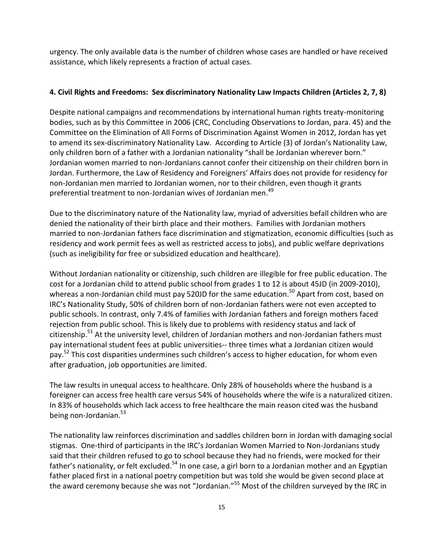urgency. The only available data is the number of children whose cases are handled or have received assistance, which likely represents a fraction of actual cases.

#### **4. Civil Rights and Freedoms: Sex discriminatory Nationality Law Impacts Children (Articles 2, 7, 8)**

Despite national campaigns and recommendations by international human rights treaty-monitoring bodies, such as by this Committee in 2006 (CRC, Concluding Observations to Jordan, para. 45) and the Committee on the Elimination of All Forms of Discrimination Against Women in 2012, Jordan has yet to amend its sex-discriminatory Nationality Law. According to Article (3) of Jordan's Nationality Law, only children born of a father with a Jordanian nationality "shall be Jordanian wherever born." Jordanian women married to non-Jordanians cannot confer their citizenship on their children born in Jordan. Furthermore, the Law of Residency and Foreigners' Affairs does not provide for residency for non-Jordanian men married to Jordanian women, nor to their children, even though it grants preferential treatment to non-Jordanian wives of Jordanian men. 49

Due to the discriminatory nature of the Nationality law, myriad of adversities befall children who are denied the nationality of their birth place and their mothers. Families with Jordanian mothers married to non-Jordanian fathers face discrimination and stigmatization, economic difficulties (such as residency and work permit fees as well as restricted access to jobs), and public welfare deprivations (such as ineligibility for free or subsidized education and healthcare).

Without Jordanian nationality or citizenship, such children are illegible for free public education. The cost for a Jordanian child to attend public school from grades 1 to 12 is about 45JD (in 2009-2010), whereas a non-Jordanian child must pay 520JD for the same education.<sup>50</sup> Apart from cost, based on IRC's Nationality Study, 50% of children born of non-Jordanian fathers were not even accepted to public schools. In contrast, only 7.4% of families with Jordanian fathers and foreign mothers faced rejection from public school. This is likely due to problems with residency status and lack of citizenship.<sup>51</sup> At the university level, children of Jordanian mothers and non-Jordanian fathers must pay international student fees at public universities-- three times what a Jordanian citizen would pay.<sup>52</sup> This cost disparities undermines such children's access to higher education, for whom even after graduation, job opportunities are limited.

The law results in unequal access to healthcare. Only 28% of households where the husband is a foreigner can access free health care versus 54% of households where the wife is a naturalized citizen. In 83% of households which lack access to free healthcare the main reason cited was the husband being non-Jordanian.<sup>53</sup>

The nationality law reinforces discrimination and saddles children born in Jordan with damaging social stigmas. One-third of participants in the IRC's Jordanian Women Married to Non-Jordanians study said that their children refused to go to school because they had no friends, were mocked for their father's nationality, or felt excluded.<sup>54</sup> In one case, a girl born to a Jordanian mother and an Egyptian father placed first in a national poetry competition but was told she would be given second place at the award ceremony because she was not "Jordanian."<sup>55</sup> Most of the children surveyed by the IRC in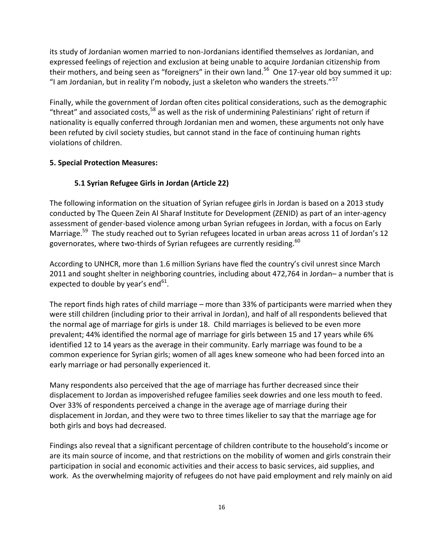its study of Jordanian women married to non-Jordanians identified themselves as Jordanian, and expressed feelings of rejection and exclusion at being unable to acquire Jordanian citizenship from their mothers, and being seen as "foreigners" in their own land.<sup>56</sup> One 17-year old boy summed it up: "I am Jordanian, but in reality I'm nobody, just a skeleton who wanders the streets." $57$ 

Finally, while the government of Jordan often cites political considerations, such as the demographic "threat" and associated costs,  $^{58}$  as well as the risk of undermining Palestinians' right of return if nationality is equally conferred through Jordanian men and women, these arguments not only have been refuted by civil society studies, but cannot stand in the face of continuing human rights violations of children.

#### **5. Special Protection Measures:**

### **5.1 Syrian Refugee Girls in Jordan (Article 22)**

The following information on the situation of Syrian refugee girls in Jordan is based on a 2013 study conducted by The Queen Zein Al Sharaf Institute for Development (ZENID) as part of an inter-agency assessment of gender-based violence among urban Syrian refugees in Jordan, with a focus on Early Marriage.<sup>59</sup> The study reached out to Syrian refugees located in urban areas across 11 of Jordan's 12 governorates, where two-thirds of Syrian refugees are currently residing. $^{60}$ 

According to UNHCR, more than 1.6 million Syrians have fled the country's civil unrest since March 2011 and sought shelter in neighboring countries, including about 472,764 in Jordan– a number that is expected to double by year's end $^{61}$ .

The report finds high rates of child marriage – more than 33% of participants were married when they were still children (including prior to their arrival in Jordan), and half of all respondents believed that the normal age of marriage for girls is under 18. Child marriages is believed to be even more prevalent; 44% identified the normal age of marriage for girls between 15 and 17 years while 6% identified 12 to 14 years as the average in their community. Early marriage was found to be a common experience for Syrian girls; women of all ages knew someone who had been forced into an early marriage or had personally experienced it.

Many respondents also perceived that the age of marriage has further decreased since their displacement to Jordan as impoverished refugee families seek dowries and one less mouth to feed. Over 33% of respondents perceived a change in the average age of marriage during their displacement in Jordan, and they were two to three times likelier to say that the marriage age for both girls and boys had decreased.

Findings also reveal that a significant percentage of children contribute to the household's income or are its main source of income, and that restrictions on the mobility of women and girls constrain their participation in social and economic activities and their access to basic services, aid supplies, and work. As the overwhelming majority of refugees do not have paid employment and rely mainly on aid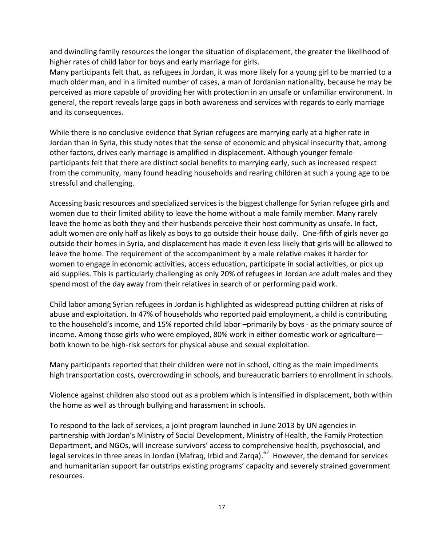and dwindling family resources the longer the situation of displacement, the greater the likelihood of higher rates of child labor for boys and early marriage for girls.

Many participants felt that, as refugees in Jordan, it was more likely for a young girl to be married to a much older man, and in a limited number of cases, a man of Jordanian nationality, because he may be perceived as more capable of providing her with protection in an unsafe or unfamiliar environment. In general, the report reveals large gaps in both awareness and services with regards to early marriage and its consequences.

While there is no conclusive evidence that Syrian refugees are marrying early at a higher rate in Jordan than in Syria, this study notes that the sense of economic and physical insecurity that, among other factors, drives early marriage is amplified in displacement. Although younger female participants felt that there are distinct social benefits to marrying early, such as increased respect from the community, many found heading households and rearing children at such a young age to be stressful and challenging.

Accessing basic resources and specialized services is the biggest challenge for Syrian refugee girls and women due to their limited ability to leave the home without a male family member. Many rarely leave the home as both they and their husbands perceive their host community as unsafe. In fact, adult women are only half as likely as boys to go outside their house daily. One-fifth of girls never go outside their homes in Syria, and displacement has made it even less likely that girls will be allowed to leave the home. The requirement of the accompaniment by a male relative makes it harder for women to engage in economic activities, access education, participate in social activities, or pick up aid supplies. This is particularly challenging as only 20% of refugees in Jordan are adult males and they spend most of the day away from their relatives in search of or performing paid work.

Child labor among Syrian refugees in Jordan is highlighted as widespread putting children at risks of abuse and exploitation. In 47% of households who reported paid employment, a child is contributing to the household's income, and 15% reported child labor –primarily by boys - as the primary source of income. Among those girls who were employed, 80% work in either domestic work or agriculture both known to be high-risk sectors for physical abuse and sexual exploitation.

Many participants reported that their children were not in school, citing as the main impediments high transportation costs, overcrowding in schools, and bureaucratic barriers to enrollment in schools.

Violence against children also stood out as a problem which is intensified in displacement, both within the home as well as through bullying and harassment in schools.

To respond to the lack of services, a joint program launched in June 2013 by UN agencies in partnership with Jordan's Ministry of Social Development, Ministry of Health, the Family Protection Department, and NGOs, will increase survivors' access to comprehensive health, psychosocial, and legal services in three areas in Jordan (Mafraq, Irbid and Zarqa).<sup>62</sup> However, the demand for services and humanitarian support far outstrips existing programs' capacity and severely strained government resources.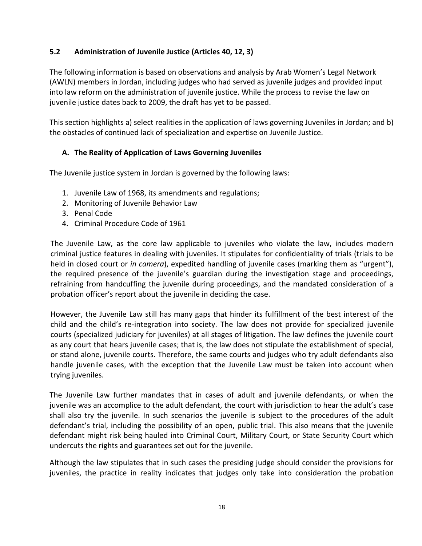#### **5.2 Administration of Juvenile Justice (Articles 40, 12, 3)**

The following information is based on observations and analysis by Arab Women's Legal Network (AWLN) members in Jordan, including judges who had served as juvenile judges and provided input into law reform on the administration of juvenile justice. While the process to revise the law on juvenile justice dates back to 2009, the draft has yet to be passed.

This section highlights a) select realities in the application of laws governing Juveniles in Jordan; and b) the obstacles of continued lack of specialization and expertise on Juvenile Justice.

#### **A. The Reality of Application of Laws Governing Juveniles**

The Juvenile justice system in Jordan is governed by the following laws:

- 1. Juvenile Law of 1968, its amendments and regulations;
- 2. Monitoring of Juvenile Behavior Law
- 3. Penal Code
- 4. Criminal Procedure Code of 1961

The Juvenile Law, as the core law applicable to juveniles who violate the law, includes modern criminal justice features in dealing with juveniles. It stipulates for confidentiality of trials (trials to be held in closed court or *in camera*), expedited handling of juvenile cases (marking them as "urgent"), the required presence of the juvenile's guardian during the investigation stage and proceedings, refraining from handcuffing the juvenile during proceedings, and the mandated consideration of a probation officer's report about the juvenile in deciding the case.

However, the Juvenile Law still has many gaps that hinder its fulfillment of the best interest of the child and the child's re-integration into society. The law does not provide for specialized juvenile courts (specialized judiciary for juveniles) at all stages of litigation. The law defines the juvenile court as any court that hears juvenile cases; that is, the law does not stipulate the establishment of special, or stand alone, juvenile courts. Therefore, the same courts and judges who try adult defendants also handle juvenile cases, with the exception that the Juvenile Law must be taken into account when trying juveniles.

The Juvenile Law further mandates that in cases of adult and juvenile defendants, or when the juvenile was an accomplice to the adult defendant, the court with jurisdiction to hear the adult's case shall also try the juvenile. In such scenarios the juvenile is subject to the procedures of the adult defendant's trial, including the possibility of an open, public trial. This also means that the juvenile defendant might risk being hauled into Criminal Court, Military Court, or State Security Court which undercuts the rights and guarantees set out for the juvenile.

Although the law stipulates that in such cases the presiding judge should consider the provisions for juveniles, the practice in reality indicates that judges only take into consideration the probation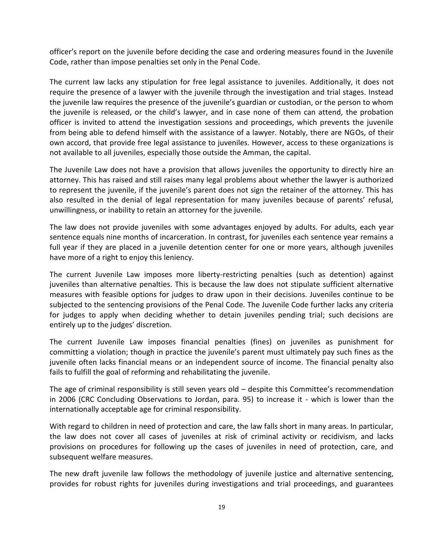officer's report on the juvenile before deciding the case and ordering measures found in the Juvenile Code, rather than impose penalties set only in the Penal Code.

The current law lacks any stipulation for free legal assistance to juveniles. Additionally, it does not require the presence of a lawyer with the juvenile through the investigation and trial stages. Instead the juvenile law requires the presence of the juvenile's guardian or custodian, or the person to whom the juvenile is released, or the child's lawyer, and in case none of them can attend, the probation officer is invited to attend the investigation sessions and proceedings, which prevents the juvenile from being able to defend himself with the assistance of a lawyer. Notably, there are NGOs, of their own accord, that provide free legal assistance to juveniles. However, access to these organizations is not available to all juveniles, especially those outside the Amman, the capital.

The Juvenile Law does not have a provision that allows juveniles the opportunity to directly hire an attorney. This has raised and still raises many legal problems about whether the lawyer is authorized to represent the juvenile, if the juvenile's parent does not sign the retainer of the attorney. This has also resulted in the denial of legal representation for many juveniles because of parents' refusal, unwillingness, or inability to retain an attorney for the juvenile.

The law does not provide juveniles with some advantages enjoyed by adults. For adults, each year sentence equals nine months of incarceration. In contrast, for juveniles each sentence year remains a full year if they are placed in a juvenile detention center for one or more years, although juveniles have more of a right to enjoy this leniency.

The current Juvenile Law imposes more liberty-restricting penalties (such as detention) against juveniles than alternative penalties. This is because the law does not stipulate sufficient alternative measures with feasible options for judges to draw upon in their decisions. Juveniles continue to be subjected to the sentencing provisions of the Penal Code. The Juvenile Code further lacks any criteria for judges to apply when deciding whether to detain juveniles pending trial; such decisions are entirely up to the judges' discretion.

The current Juvenile Law imposes financial penalties (fines) on juveniles as punishment for committing a violation; though in practice the juvenile's parent must ultimately pay such fines as the juvenile often lacks financial means or an independent source of income. The financial penalty also fails to fulfill the goal of reforming and rehabilitating the juvenile.

The age of criminal responsibility is still seven years old – despite this Committee's recommendation in 2006 (CRC Concluding Observations to Jordan, para. 95) to increase it - which is lower than the internationally acceptable age for criminal responsibility.

With regard to children in need of protection and care, the law falls short in many areas. In particular, the law does not cover all cases of juveniles at risk of criminal activity or recidivism, and lacks provisions on procedures for following up the cases of juveniles in need of protection, care, and subsequent welfare measures.

The new draft juvenile law follows the methodology of juvenile justice and alternative sentencing, provides for robust rights for juveniles during investigations and trial proceedings, and guarantees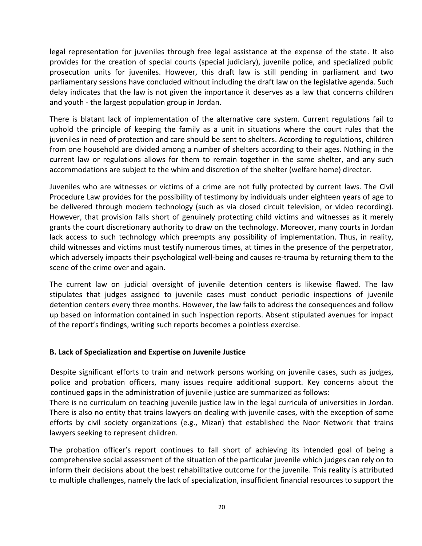legal representation for juveniles through free legal assistance at the expense of the state. It also provides for the creation of special courts (special judiciary), juvenile police, and specialized public prosecution units for juveniles. However, this draft law is still pending in parliament and two parliamentary sessions have concluded without including the draft law on the legislative agenda. Such delay indicates that the law is not given the importance it deserves as a law that concerns children and youth - the largest population group in Jordan.

There is blatant lack of implementation of the alternative care system. Current regulations fail to uphold the principle of keeping the family as a unit in situations where the court rules that the juveniles in need of protection and care should be sent to shelters. According to regulations, children from one household are divided among a number of shelters according to their ages. Nothing in the current law or regulations allows for them to remain together in the same shelter, and any such accommodations are subject to the whim and discretion of the shelter (welfare home) director.

Juveniles who are witnesses or victims of a crime are not fully protected by current laws. The Civil Procedure Law provides for the possibility of testimony by individuals under eighteen years of age to be delivered through modern technology (such as via closed circuit television, or video recording). However, that provision falls short of genuinely protecting child victims and witnesses as it merely grants the court discretionary authority to draw on the technology. Moreover, many courts in Jordan lack access to such technology which preempts any possibility of implementation. Thus, in reality, child witnesses and victims must testify numerous times, at times in the presence of the perpetrator, which adversely impacts their psychological well-being and causes re-trauma by returning them to the scene of the crime over and again.

The current law on judicial oversight of juvenile detention centers is likewise flawed. The law stipulates that judges assigned to juvenile cases must conduct periodic inspections of juvenile detention centers every three months. However, the law fails to address the consequences and follow up based on information contained in such inspection reports. Absent stipulated avenues for impact of the report's findings, writing such reports becomes a pointless exercise.

#### **B. Lack of Specialization and Expertise on Juvenile Justice**

Despite significant efforts to train and network persons working on juvenile cases, such as judges, police and probation officers, many issues require additional support. Key concerns about the continued gaps in the administration of juvenile justice are summarized as follows:

There is no curriculum on teaching juvenile justice law in the legal curricula of universities in Jordan. There is also no entity that trains lawyers on dealing with juvenile cases, with the exception of some efforts by civil society organizations (e.g., Mizan) that established the Noor Network that trains lawyers seeking to represent children.

The probation officer's report continues to fall short of achieving its intended goal of being a comprehensive social assessment of the situation of the particular juvenile which judges can rely on to inform their decisions about the best rehabilitative outcome for the juvenile. This reality is attributed to multiple challenges, namely the lack of specialization, insufficient financial resources to support the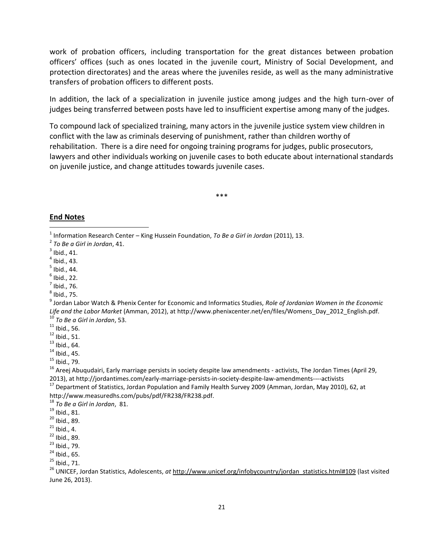work of probation officers, including transportation for the great distances between probation officers' offices (such as ones located in the juvenile court, Ministry of Social Development, and protection directorates) and the areas where the juveniles reside, as well as the many administrative transfers of probation officers to different posts.

In addition, the lack of a specialization in juvenile justice among judges and the high turn-over of judges being transferred between posts have led to insufficient expertise among many of the judges.

To compound lack of specialized training, many actors in the juvenile justice system view children in conflict with the law as criminals deserving of punishment, rather than children worthy of rehabilitation. There is a dire need for ongoing training programs for judges, public prosecutors, lawyers and other individuals working on juvenile cases to both educate about international standards on juvenile justice, and change attitudes towards juvenile cases.

\*\*\*

#### **End Notes**

- $<sup>7</sup>$  Ibid., 76.</sup>
- $^8$  Ibid., 75.

- $^{11}$  Ibid., 56.
- $12$  Ibid., 51.
- $^{13}$  Ibid., 64.
- $14$  Ibid., 45.
- $15$  Ibid., 79.

 $16$  Areej Abuqudairi, Early marriage persists in society despite law amendments - activists, The Jordan Times (April 29, 2013), at http://jordantimes.com/early-marriage-persists-in-society-despite-law-amendments----activists

<sup>17</sup> Department of Statistics, Jordan Population and Family Health Survey 2009 (Amman, Jordan, May 2010), 62, at http://www.measuredhs.com/pubs/pdf/FR238/FR238.pdf.

<sup>18</sup> *To Be a Girl in Jordan*, 81.

- $20$  Ibid., 89.
- $21$  Ibid., 4.
- <sup>22</sup> Ibid., 89.
- $23$  Ibid., 79.
- $^{24}$  Ibid., 65.
- $^{25}$  Ibid., 71.

<sup>26</sup> UNICEF, Jordan Statistics, Adolescents, *at* [http://www.unicef.org/infobycountry/jordan\\_statistics.html#109](http://www.unicef.org/infobycountry/jordan_statistics.html#109) (last visited June 26, 2013).

 1 Information Research Center – King Hussein Foundation, *To Be a Girl in Jordan* (2011), 13.

<sup>2</sup> *To Be a Girl in Jordan*, 41.

 $3$  Ibid., 41.

 $<sup>4</sup>$  Ibid., 43.</sup>

 $^5$  Ibid., 44.

 $<sup>6</sup>$  Ibid., 22.</sup>

<sup>9</sup> Jordan Labor Watch & Phenix Center for Economic and Informatics Studies, *Role of Jordanian Women in the Economic Life and the Labor Market* (Amman, 2012), at http://www.phenixcenter.net/en/files/Womens\_Day\_2012\_English.pdf. <sup>10</sup> *To Be a Girl in Jordan*, 53.

<sup>19</sup> Ibid., 81.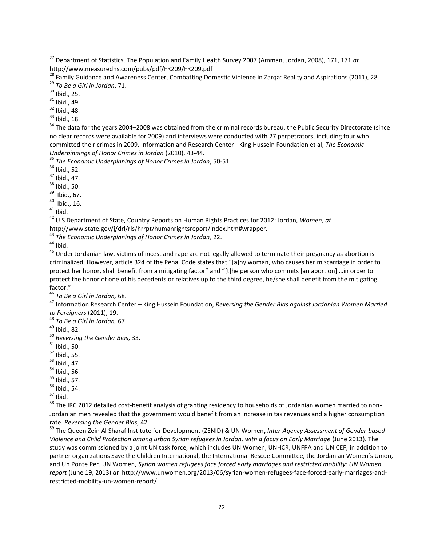<sup>27</sup> Department of Statistics, The Population and Family Health Survey 2007 (Amman, Jordan, 2008), 171, 171 *at* http://www.measuredhs.com/pubs/pdf/FR209/FR209.pdf

 $30$  Ibid., 25.

 $\overline{a}$ 

 $31$  Ibid., 49.

 $32$  Ibid., 48.

 $33$  Ibid., 18.

<sup>34</sup> The data for the years 2004–2008 was obtained from the criminal records bureau, the Public Security Directorate (since no clear records were available for 2009) and interviews were conducted with 27 perpetrators, including four who committed their crimes in 2009. Information and Research Center - King Hussein Foundation et al, *The Economic Underpinnings of Honor Crimes in Jordan* (2010), 43-44.

<sup>35</sup> *The Economic Underpinnings of Honor Crimes in Jordan*, 50-51.

 $36$  Ibid., 52.

<sup>37</sup> Ibid., 47.

 $38$  Ibid., 50.

<sup>39</sup> Ibid., 67.

 $40$  Ibid., 16.

 $41$  Ibid.

<sup>42</sup> U.S Department of State, Country Reports on Human Rights Practices for 2012: Jordan*, Women, at* http://www.state.gov/j/drl/rls/hrrpt/humanrightsreport/index.htm#wrapper.

<sup>43</sup> *The Economic Underpinnings of Honor Crimes in Jordan*, 22.

 $44$  Ibid.

 $45$  Under Jordanian law, victims of incest and rape are not legally allowed to terminate their pregnancy as abortion is criminalized. However, article 324 of the Penal Code states that "[a]ny woman, who causes her miscarriage in order to protect her honor, shall benefit from a mitigating factor" and "[t]he person who commits [an abortion] …in order to protect the honor of one of his decedents or relatives up to the third degree, he/she shall benefit from the mitigating factor."

<sup>46</sup> *To Be a Girl in Jordan,* 68.

<sup>47</sup> Information Research Center – King Hussein Foundation, *Reversing the Gender Bias against Jordanian Women Married to Foreigners* (2011), 19.

<sup>48</sup> *To Be a Girl in Jordan,* 67.

<sup>49</sup> Ibid., 82.

<sup>50</sup> *Reversing the Gender Bias*, 33.

 $51$  Ibid., 50.

 $52$  Ibid., 55.

<sup>53</sup> Ibid., 47.

 $54$  Ibid., 56.

<sup>55</sup> Ibid., 57.

 $56$  Ibid., 54.

 $57$  Ibid.

<sup>58</sup> The IRC 2012 detailed cost-benefit analysis of granting residency to households of Jordanian women married to non-Jordanian men revealed that the government would benefit from an increase in tax revenues and a higher consumption rate. *Reversing the Gender Bias*, 42.

<sup>59</sup> The Queen Zein Al Sharaf Institute for Development (ZENID) & UN Women**,** *Inter-Agency Assessment of Gender-based Violence and Child Protection among urban Syrian refugees in Jordan, with a focus on Early Marriage* (June 2013). The study was commissioned by a joint UN task force, which includes UN Women, UNHCR, UNFPA and UNICEF, in addition to partner organizations Save the Children International, the International Rescue Committee, the Jordanian Women's Union, and Un Ponte Per. UN Women, *Syrian women refugees face forced early marriages and restricted mobility: UN Women report* (June 19, 2013) *at* http://www.unwomen.org/2013/06/syrian-women-refugees-face-forced-early-marriages-andrestricted-mobility-un-women-report/.

<sup>&</sup>lt;sup>28</sup> Family Guidance and Awareness Center, Combatting Domestic Violence in Zarqa: Reality and Aspirations (2011), 28. <sup>29</sup> *To Be a Girl in Jordan*, 71.